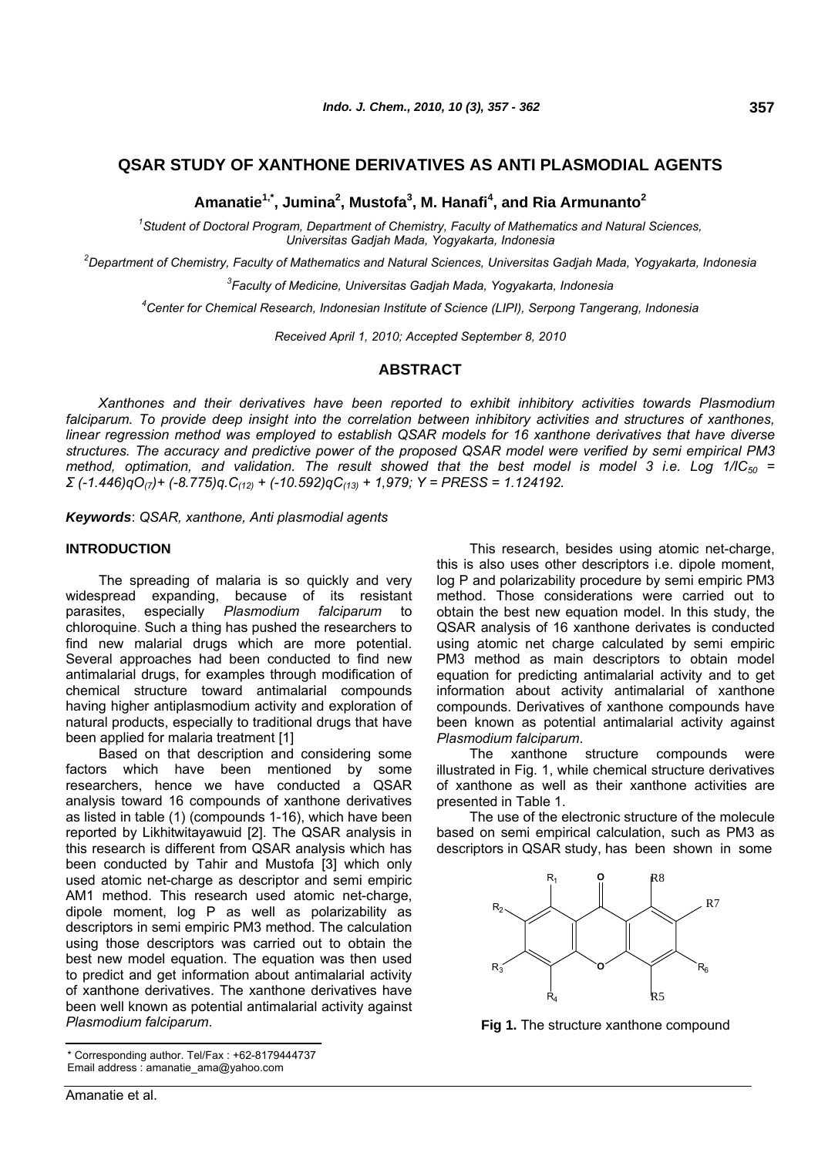# **QSAR STUDY OF XANTHONE DERIVATIVES AS ANTI PLASMODIAL AGENTS**

**Amanatie1,\*, Jumina2 , Mustofa<sup>3</sup> , M. Hanafi4 , and Ria Armunanto2**

*1 Student of Doctoral Program, Department of Chemistry, Faculty of Mathematics and Natural Sciences, Universitas Gadjah Mada, Yogyakarta, Indonesia* 

*2 Department of Chemistry, Faculty of Mathematics and Natural Sciences, Universitas Gadjah Mada, Yogyakarta, Indonesia* 

*3 Faculty of Medicine, Universitas Gadjah Mada, Yogyakarta, Indonesia* 

*4 Center for Chemical Research, Indonesian Institute of Science (LIPI), Serpong Tangerang, Indonesia* 

*Received April 1, 2010; Accepted September 8, 2010* 

# **ABSTRACT**

*Xanthones and their derivatives have been reported to exhibit inhibitory activities towards Plasmodium*  falciparum. To provide deep insight into the correlation between inhibitory activities and structures of xanthones, *linear regression method was employed to establish QSAR models for 16 xanthone derivatives that have diverse structures. The accuracy and predictive power of the proposed QSAR model were verified by semi empirical PM3 method, optimation, and validation. The result showed that the best model is model 3 i.e. Log 1/IC50 = Σ (-1.446)qO(7)+ (-8.775)q.C(12) + (-10.592)qC(13) + 1,979; Y = PRESS = 1.124192.* 

*Keywords*: *QSAR, xanthone, Anti plasmodial agents*

# **INTRODUCTION**

The spreading of malaria is so quickly and very widespread expanding, because of its resistant parasites, especially *Plasmodium falciparum* to chloroquine. Such a thing has pushed the researchers to find new malarial drugs which are more potential. Several approaches had been conducted to find new antimalarial drugs, for examples through modification of chemical structure toward antimalarial compounds having higher antiplasmodium activity and exploration of natural products, especially to traditional drugs that have been applied for malaria treatment [1]

Based on that description and considering some factors which have been mentioned by some researchers, hence we have conducted a QSAR analysis toward 16 compounds of xanthone derivatives as listed in table (1) (compounds 1-16), which have been reported by Likhitwitayawuid [2]. The QSAR analysis in this research is different from QSAR analysis which has been conducted by Tahir and Mustofa [3] which only used atomic net-charge as descriptor and semi empiric AM1 method. This research used atomic net-charge, dipole moment, log P as well as polarizability as descriptors in semi empiric PM3 method. The calculation using those descriptors was carried out to obtain the best new model equation. The equation was then used to predict and get information about antimalarial activity of xanthone derivatives. The xanthone derivatives have been well known as potential antimalarial activity against *Plasmodium falciparum*.

This research, besides using atomic net-charge, this is also uses other descriptors i.e. dipole moment, log P and polarizability procedure by semi empiric PM3 method. Those considerations were carried out to obtain the best new equation model. In this study, the QSAR analysis of 16 xanthone derivates is conducted using atomic net charge calculated by semi empiric PM3 method as main descriptors to obtain model equation for predicting antimalarial activity and to get information about activity antimalarial of xanthone compounds. Derivatives of xanthone compounds have been known as potential antimalarial activity against *Plasmodium falciparum*.

The xanthone structure compounds were illustrated in Fig. 1, while chemical structure derivatives of xanthone as well as their xanthone activities are presented in Table 1.

The use of the electronic structure of the molecule based on semi empirical calculation, such as PM3 as descriptors in QSAR study, has been shown in some



**Fig 1.** The structure xanthone compound

<sup>\*</sup> Corresponding author. Tel/Fax : +62-8179444737 Email address : [amanatie\\_ama@yahoo.com](mailto:amanatie_ama@yahoo.com)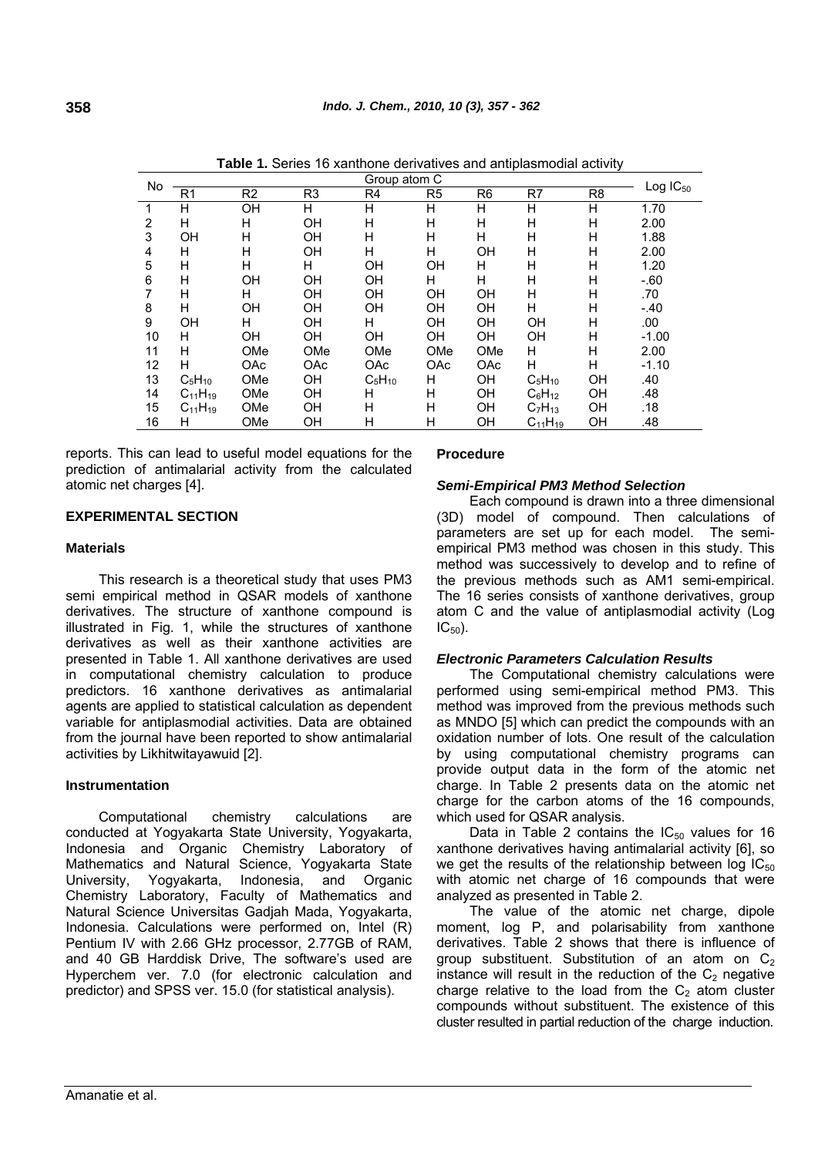| No |                |                |                | Group atom C |                |                |                |                | $Log IC_{50}$ |
|----|----------------|----------------|----------------|--------------|----------------|----------------|----------------|----------------|---------------|
|    | R <sub>1</sub> | R <sub>2</sub> | R <sub>3</sub> | R4           | R <sub>5</sub> | R <sub>6</sub> | R7             | R <sub>8</sub> |               |
| 1  | Н              | OH             | H              | H            | Н              | H              | н              | H              | 1.70          |
| 2  | Н              | H              | OH             | H            | Н              | H              | н              | H              | 2.00          |
| 3  | OH             | Н              | OН             | н            | H              | н              | н              | н              | 1.88          |
| 4  | н              | н              | OΗ             | н            | Н              | OΗ             | н              | н              | 2.00          |
| 5  | н              | H              | н              | OH           | OH             | н              | н              | н              | 1.20          |
| 6  | Н              | OH             | OH             | OН           | н              | H              | н              | Н              | $-60$         |
| 7  | н              | н              | OΗ             | OН           | OH             | OH             | н              | Н              | .70           |
| 8  | н              | OH             | OΗ             | OН           | <b>OH</b>      | OΗ             | н              | Н              | $-.40$        |
| 9  | OH             | н              | ΟH             | н            | OH             | OH             | OH             | H              | .00           |
| 10 | н              | OH             | <b>OH</b>      | <b>OH</b>    | <b>OH</b>      | OН             | <b>OH</b>      | Н              | $-1.00$       |
| 11 | н              | OMe            | OMe            | OMe          | OMe            | OMe            | н              | н              | 2.00          |
| 12 | н              | <b>OAc</b>     | <b>OAc</b>     | OAc          | OAc            | <b>OAc</b>     | н              | H              | $-1.10$       |
| 13 | $C_5H_{10}$    | OMe            | OН             | $C_5H_{10}$  | н              | OH             | $C_5H_{10}$    | OH             | .40           |
| 14 | $C_{11}H_{19}$ | OMe            | ΟH             | н            | н              | OН             | $C_6H_{12}$    | <b>OH</b>      | .48           |
| 15 | $C_{11}H_{19}$ | OMe            | ΟH             | н            | Н              | OΗ             | $C_7H_{13}$    | OH             | .18           |
| 16 | н              | OMe            | OН             | Η            | Н              | OΗ             | $C_{11}H_{19}$ | OH             | .48           |

**Table 1.** Series 16 xanthone derivatives and antiplasmodial activity

reports. This can lead to useful model equations for the prediction of antimalarial activity from the calculated atomic net charges [4].

# **EXPERIMENTAL SECTION**

## **Materials**

This research is a theoretical study that uses PM3 semi empirical method in QSAR models of xanthone derivatives. The structure of xanthone compound is illustrated in Fig. 1, while the structures of xanthone derivatives as well as their xanthone activities are presented in Table 1. All xanthone derivatives are used in computational chemistry calculation to produce predictors. 16 xanthone derivatives as antimalarial agents are applied to statistical calculation as dependent variable for antiplasmodial activities. Data are obtained from the journal have been reported to show antimalarial activities by Likhitwitayawuid [2].

## **Instrumentation**

Computational chemistry calculations are conducted at Yogyakarta State University, Yogyakarta, Indonesia and Organic Chemistry Laboratory of Mathematics and Natural Science, Yogyakarta State University, Yogyakarta, Indonesia, and Organic Chemistry Laboratory, Faculty of Mathematics and Natural Science Universitas Gadjah Mada, Yogyakarta, Indonesia. Calculations were performed on, Intel (R) Pentium IV with 2.66 GHz processor, 2.77GB of RAM, and 40 GB Harddisk Drive, The software's used are Hyperchem ver. 7.0 (for electronic calculation and predictor) and SPSS ver. 15.0 (for statistical analysis).

#### **Procedure**

## *Semi-Empirical PM3 Method Selection*

Each compound is drawn into a three dimensional (3D) model of compound. Then calculations of parameters are set up for each model. The semiempirical PM3 method was chosen in this study. This method was successively to develop and to refine of the previous methods such as AM1 semi-empirical. The 16 series consists of xanthone derivatives, group atom C and the value of antiplasmodial activity (Log  $IC_{50}$ ).

## *Electronic Parameters Calculation Results*

The Computational chemistry calculations were performed using semi-empirical method PM3. This method was improved from the previous methods such as MNDO [5] which can predict the compounds with an oxidation number of lots. One result of the calculation by using computational chemistry programs can provide output data in the form of the atomic net charge. In Table 2 presents data on the atomic net charge for the carbon atoms of the 16 compounds, which used for QSAR analysis.

Data in Table 2 contains the  $IC_{50}$  values for 16 xanthone derivatives having antimalarial activity [6], so we get the results of the relationship between  $log IC_{50}$ with atomic net charge of 16 compounds that were analyzed as presented in Table 2.

The value of the atomic net charge, dipole moment, log P, and polarisability from xanthone derivatives. Table 2 shows that there is influence of group substituent. Substitution of an atom on  $C_2$ instance will result in the reduction of the  $C_2$  negative charge relative to the load from the  $C_2$  atom cluster compounds without substituent. The existence of this cluster resulted in partial reduction of the charge induction.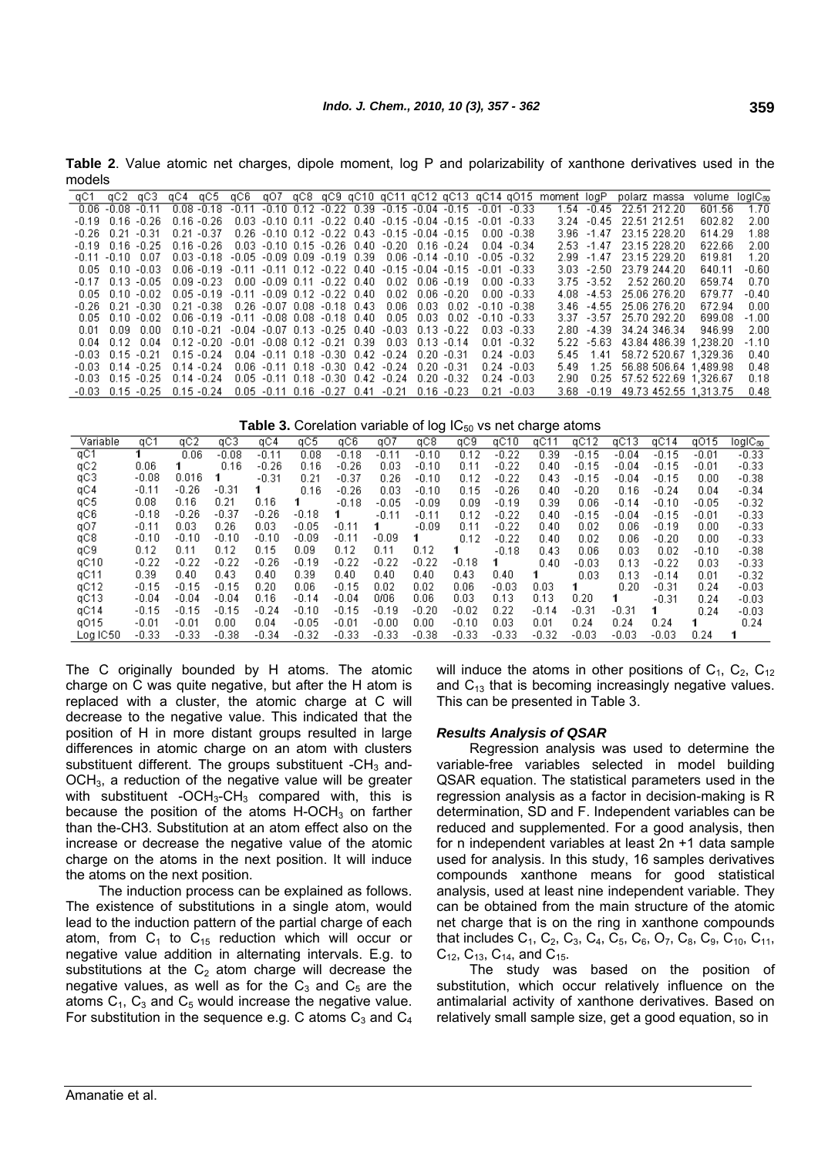**Table 2**. Value atomic net charges, dipole moment, log P and polarizability of xanthone derivatives used in the models

| qC1     | -dC2 -dC3              | gC4 gC5 gC6 gO7 gC8 gC9 gC10 gC11 gC12 gC13 gC14 gO15 moment logP polarz massa |                                                        |                                  |  |                                                         |                                                         |                                                                       |                |       |               |                          | volume                     | logiC <sub>50</sub> |
|---------|------------------------|--------------------------------------------------------------------------------|--------------------------------------------------------|----------------------------------|--|---------------------------------------------------------|---------------------------------------------------------|-----------------------------------------------------------------------|----------------|-------|---------------|--------------------------|----------------------------|---------------------|
|         | $0.06 - 0.08 - 0.11$   | $0.08 - 0.18$                                                                  |                                                        |                                  |  |                                                         |                                                         | $-0.11$ $-0.10$ $0.12$ $-0.22$ $0.39$ $-0.15$ $-0.04$ $-0.15$ $-0.01$ | $-0.33$        |       | 1.54 -0.45    | 22.51.212.20             | 601.56                     | 1.70                |
| -0.19   | $0.16 - 0.26$          | $0.16 - 0.26$                                                                  |                                                        |                                  |  |                                                         | $0.03 - 0.10$ $0.11 - 0.22$ $0.40 - 0.15 - 0.04 - 0.15$ | $-0.01$                                                               | -0.33          | 3.24. |               | $-0.45$ 22.51 212.51     | 602.82                     | 2.00                |
| $-0.26$ | $0.21 - 0.31$          | $0.21 - 0.37$                                                                  |                                                        |                                  |  | $0.26 - 0.10$ $0.12 - 0.22$ $0.43 - 0.15 - 0.04 - 0.15$ |                                                         |                                                                       | $0.00 - 0.38$  |       |               | 3.96 -1.47 23.15 228.20  | 614.29                     | 1.88                |
| -0.19   | በ16 -በ25               | በ 16 - በ 26                                                                    |                                                        |                                  |  | $0.03 - 0.10$ $0.15 - 0.26$ $0.40 - 0.20$ $0.16 - 0.24$ |                                                         |                                                                       | $0.04 - 0.34$  |       |               | 2.53 -1.47 23.15 228.20  | 622.66                     | 2.00                |
|         | $-0.11 - 0.10 - 0.07$  | $0.03 - 0.18 - 0.05 - 0.09 - 0.09 - 0.19 - 0.39 - 0.06 - 0.14 - 0.10$          |                                                        |                                  |  |                                                         |                                                         |                                                                       | $-0.05 - 0.32$ |       |               | 2.99 -1.47 23.15 229.20  | 619.81                     | 1.20                |
|         | $0.05$ $0.10$ $-0.03$  | $0.06 - 0.19 - 0.11 - 0.11 - 0.12 - 0.22 - 0.40 - 0.15 - 0.04 - 0.15$          |                                                        |                                  |  |                                                         |                                                         |                                                                       | $-0.01 - 0.33$ |       |               | 3.03 - 2.50 23.79 244.20 | 640.11                     | $-0.60$             |
|         | -017 013 -005          | $0.09 - 0.23$ $0.00 - 0.09$ $0.11 - 0.22$ $0.40$                               |                                                        |                                  |  |                                                         | . በበ2. በበ6. በ19.                                        |                                                                       | በበበ -በ33       |       | $3.75 - 3.52$ | 2.52 260.20              | 659.74                     | 0.70                |
|         | 0.05 0.10 -0.02        | $0.05 - 0.19 - 0.11 - 0.09 - 0.12 - 0.22 - 0.40$                               |                                                        |                                  |  |                                                         | 0.02 0.06 -0.20                                         |                                                                       | $0.00 - 0.33$  |       |               | 4.08 -4.53 25.06.276.20  | 679.77                     | $-0.40$             |
|         | -0.26 0.21 -0.30       | $0.21 - 0.38$ $0.26 - 0.07$ $0.08 - 0.18$ $0.43$                               |                                                        |                                  |  |                                                         | $0.06$ $0.03$ $0.02$                                    |                                                                       | $-0.10 - 0.38$ |       |               | 3.46 -4.55 25.06 276.20  | 672.94                     | 0.00                |
|         | $0.05$ $0.10$ $-0.02$  | $0.06 - 0.19 - 0.11 - 0.08 - 0.08 - 0.18 - 0.40$                               |                                                        |                                  |  |                                                         | 0.05 0.03 0.02                                          |                                                                       | $-0.10 - 0.33$ |       |               | 3.37 -3.57 25.70 292.20  | 699.08                     | $-1.00$             |
| 0.01    | $0.09\quad 0.00$       | $0.10 - 0.21$                                                                  | $-0.04$ $-0.07$ 0.13 $-0.25$ 0.40 $-0.03$ 0.13 $-0.22$ |                                  |  |                                                         |                                                         |                                                                       | $0.03 - 0.33$  |       | $2.80 - 4.39$ | 34.24 346.34             | 946.99                     | 2.00                |
| 0.04    | $0.12 \quad 0.04$      | $0.12 - 0.20$                                                                  | $-0.01$ $-0.08$ $0.12$ $-0.21$ $0.39$                  |                                  |  |                                                         | $0.03$ $0.13$ $-0.14$                                   |                                                                       | $0.01 - 0.32$  |       | $5.22 - 5.63$ |                          | 43.84 486.39 1.238.20      | $-1.10$             |
|         | -0.03 0.15 -0.21       | $0.15 - 0.24$                                                                  |                                                        |                                  |  | $0.04 - 0.11$ $0.18 - 0.30$ $0.42 - 0.24$ $0.20 - 0.31$ |                                                         |                                                                       | $0.24 - 0.03$  | 5.45  | 1.41          |                          | 58.72 520.67 1.329.36      | 0.40                |
|         | $-0.03$ $0.14$ $-0.25$ | $0.14 - 0.24$                                                                  |                                                        |                                  |  | 0.06 -0.11 0.18 -0.30 0.42 -0.24 0.20 -0.31             |                                                         |                                                                       | $0.24 - 0.03$  | 5.49  | 1.25          |                          | 56.88 506.64 1.489.98      | 0.48                |
|         | $-0.03$ $0.15$ $-0.25$ | $0.14 - 0.24$                                                                  |                                                        |                                  |  | $0.05 - 0.11$ $0.18 - 0.30$ $0.42 - 0.24$               | $0.20 - 0.32$                                           |                                                                       | $0.24 - 0.03$  | 2.90  |               |                          | 0.25 57.52 522.69 1,326.67 | 0.18                |
|         | $-0.03$ $0.15$ $-0.25$ | $0.15 - 0.24$                                                                  |                                                        | $0.05 -0.11$ $0.16 -0.27$ $0.41$ |  | $-0.21$                                                 | $0.16 - 0.23$                                           | በ 21.                                                                 | -0.03          |       | $3.68 - 0.19$ |                          | 49.73 452.55 1.313.75      | 0.48                |

Table 3. Corelation variable of log IC<sub>50</sub> vs net charge atoms

| Variable | qC1     | qC2     | qСЗ     | qC4       | qC5     | aC6     | qO7     | qC8       | qC9     | qC10    | qC1       | qC1.<br>2 | qC13    | qC14    | q015    | $log$ IC $_{50}$ |
|----------|---------|---------|---------|-----------|---------|---------|---------|-----------|---------|---------|-----------|-----------|---------|---------|---------|------------------|
| qC1      |         | 0.06    | $-0.08$ | $-0.11$   | 0.08    | $-0.18$ | $-0.11$ | $-0.10$   | 0.12    | $-0.22$ | 0.39      | $-0.15$   | $-0.04$ | $-0.15$ | $-0.01$ | $-0.33$          |
| qC2      | 0.06    |         | 0.16    | $-0.26$   | 0.16    | $-0.26$ | 0.03    | $-0.10$   | 0.11    | $-0.22$ | 0.40      | $-0.15$   | $-0.04$ | $-0.15$ | $-0.01$ | $-0.33$          |
| qC3      | $-0.08$ | 0.016   |         | $-0.31$   | 0.21    | $-0.37$ | 0.26    | $-0.10$   | 0.12    | $-0.22$ | 0.43      | $-0.15$   | $-0.04$ | $-0.15$ | 0.00    | $-0.38$          |
| qC4      | $-0.11$ | $-0.26$ | $-0.31$ |           | 0.16    | $-0.26$ | 0.03    | $-0.10$   | 0.15    | $-0.26$ | 0.40      | $-0.20$   | 0.16    | $-0.24$ | 0.04    | $-0.34$          |
| qC5      | 0.08    | 0.16    | 0.21    | 0.16      |         | $-0.18$ | $-0.05$ | $-0.09$   | 0.09    | $-0.19$ | 0.39      | 0.06      | $-0.14$ | $-0.10$ | $-0.05$ | $-0.32$          |
| qC6      | $-0.18$ | $-0.26$ | $-0.37$ | $-0.26$   | $-0.18$ |         | $-0.11$ | $-0.11$   | 0.12    | $-0.22$ | 0.40      | $-0.15$   | $-0.04$ | $-0.15$ | $-0.01$ | $-0.33$          |
| qO7      | $-0.11$ | 0.03    | 0.26    | $_{0.03}$ | $-0.05$ | $-0.11$ |         | $-0.09$   | 0.11    | $-0.22$ | 0.40      | 0.02      | 0.06    | $-0.19$ | 0.00    | $-0.33$          |
| qC8      | $-0.10$ | $-0.10$ | $-0.10$ | $-0.10$   | $-0.09$ | $-0.11$ | $-0.09$ |           | 0.12    | $-0.22$ | 0.40      | 0.02      | 0.06    | $-0.20$ | 0.00    | $-0.33$          |
| qC9      | 0.12    | 0.11    | 0.12    | 0.15      | 0.09    | 0.12    | 0.11    | 0.12      |         | $-0.18$ | 0.43      | 0.06      | 0.03    | 0.02    | $-0.10$ | $-0.38$          |
| qC10     | $-0.22$ | $-0.22$ | $-0.22$ | $-0.26$   | $-0.19$ | $-0.22$ | $-0.22$ | $-0.22$   | $-0.18$ |         | 0.40      | $-0.03$   | 0.13    | $-0.22$ | 0.03    | $-0.33$          |
| qC11     | 0.39    | 0.40    | 0.43    | 0.40      | 0.39    | 0.40    | 0.40    | 0.40      | 0.43    | 0.40    |           | 0.03      | 0.13    | $-0.14$ | 0.01    | $-0.32$          |
| qC12     | $-0.15$ | $-0.15$ | $-0.15$ | 0.20      | 0.06    | $-0.15$ | 0.02    | 0.02      | 0.06    | $-0.03$ | 0.03      |           | 0.20    | $-0.31$ | 0.24    | $-0.03$          |
| qC13     | $-0.04$ | $-0.04$ | $-0.04$ | 0.16      | $-0.14$ | $-0.04$ | 0/06    | 0.06      | 0.03    | 0.13    | 0.13      | 0.20      |         | $-0.31$ | 0.24    | $-0.03$          |
| qC14     | $-0.15$ | $-0.15$ | $-0.15$ | $-0.24$   | $-0.10$ | $-0.15$ | $-0.19$ | $-0.20$   | $-0.02$ | 0.22    | $-0.14$   | $-0.31$   | $-0.31$ |         | 0.24    | $-0.03$          |
| q015     | $-0.01$ | $-0.01$ | 0.00    | 0.04      | $-0.05$ | $-0.01$ | $-0.00$ | $_{0.00}$ | $-0.10$ | 0.03    | $_{0.01}$ | 0.24      | 0.24    | 0.24    |         | 0.24             |
| Log IC50 | $-0.33$ | $-0.33$ | $-0.38$ | $-0.34$   | $-0.32$ | $-0.33$ | $-0.33$ | $-0.38$   | $-0.33$ | $-0.33$ | $-0.32$   | $-0.03$   | $-0.03$ | $-0.03$ | 0.24    |                  |

The C originally bounded by H atoms. The atomic charge on C was quite negative, but after the H atom is replaced with a cluster, the atomic charge at C will decrease to the negative value. This indicated that the position of H in more distant groups resulted in large differences in atomic charge on an atom with clusters substituent different. The groups substituent  $-CH<sub>3</sub>$  and-OCH3, a reduction of the negative value will be greater with substituent -OCH<sub>3</sub>-CH<sub>3</sub> compared with, this is because the position of the atoms  $H-OCH<sub>3</sub>$  on farther than the-CH3. Substitution at an atom effect also on the increase or decrease the negative value of the atomic charge on the atoms in the next position. It will induce the atoms on the next position.

The induction process can be explained as follows. The existence of substitutions in a single atom, would lead to the induction pattern of the partial charge of each atom, from  $C_1$  to  $C_{15}$  reduction which will occur or negative value addition in alternating intervals. E.g. to substitutions at the  $C<sub>2</sub>$  atom charge will decrease the negative values, as well as for the  $C_3$  and  $C_5$  are the atoms  $C_1$ ,  $C_3$  and  $C_5$  would increase the negative value. For substitution in the sequence e.g. C atoms  $C_3$  and  $C_4$  will induce the atoms in other positions of  $C_1$ ,  $C_2$ ,  $C_{12}$ and  $C_{13}$  that is becoming increasingly negative values. This can be presented in Table 3.

#### *Results Analysis of QSAR*

Regression analysis was used to determine the variable-free variables selected in model building QSAR equation. The statistical parameters used in the regression analysis as a factor in decision-making is R determination, SD and F. Independent variables can be reduced and supplemented. For a good analysis, then for n independent variables at least 2n +1 data sample used for analysis. In this study, 16 samples derivatives compounds xanthone means for good statistical analysis, used at least nine independent variable. They can be obtained from the main structure of the atomic net charge that is on the ring in xanthone compounds that includes  $C_1$ ,  $C_2$ ,  $C_3$ ,  $C_4$ ,  $C_5$ ,  $C_6$ ,  $O_7$ ,  $C_8$ ,  $C_9$ ,  $C_{10}$ ,  $C_{11}$ ,  $C_{12}$ ,  $C_{13}$ ,  $C_{14}$ , and  $C_{15}$ .

The study was based on the position of substitution, which occur relatively influence on the antimalarial activity of xanthone derivatives. Based on relatively small sample size, get a good equation, so in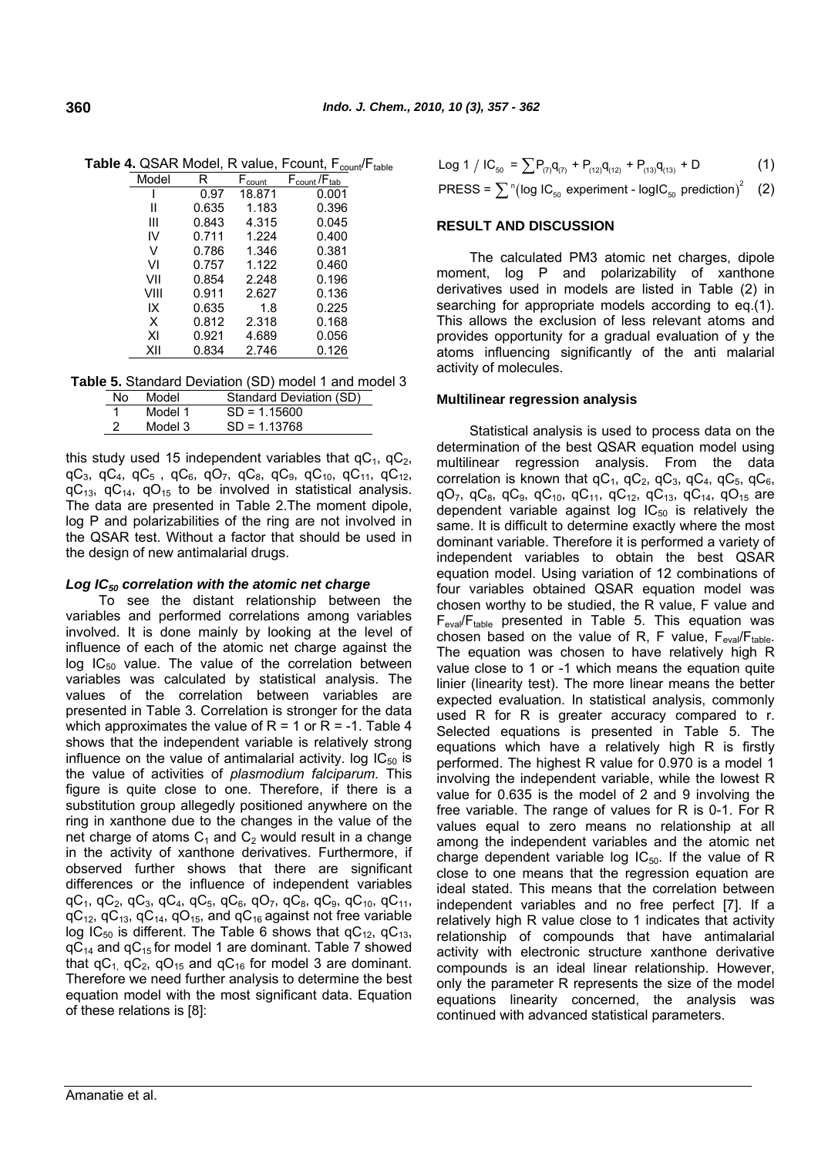|       | ,     |                    | งบนเแ                             | w |
|-------|-------|--------------------|-----------------------------------|---|
| Model | R     | F <sub>count</sub> | $F_{\text{count}}/F_{\text{tab}}$ |   |
|       | 0.97  | 18.871             | 0.001                             |   |
| Ш     | 0.635 | 1.183              | 0.396                             |   |
| Ш     | 0.843 | 4.315              | 0.045                             |   |
| IV    | 0.711 | 1.224              | 0.400                             |   |
| v     | 0.786 | 1.346              | 0.381                             |   |
| VI    | 0.757 | 1.122              | 0.460                             |   |
| VII   | 0.854 | 2.248              | 0.196                             |   |
| VIII  | 0.911 | 2.627              | 0.136                             |   |
| IX    | 0.635 | 1.8                | 0.225                             |   |
| X     | 0.812 | 2.318              | 0.168                             |   |
| ΧI    | 0.921 | 4.689              | 0.056                             |   |
| XII   | 0.834 | 2.746              | 0.126                             |   |

**Table 4.** QSAR Model, R value, Fcount, F<sub>count</sub>/Ftable

|  |  | Table 5. Standard Deviation (SD) model 1 and model 3 |  |  |  |
|--|--|------------------------------------------------------|--|--|--|
|  |  |                                                      |  |  |  |

| No.            | Model   | Standard Deviation (SD) |
|----------------|---------|-------------------------|
| $\blacksquare$ | Model 1 | $SD = 1.15600$          |
| - 2            | Model 3 | $SD = 1.13768$          |

this study used 15 independent variables that  $qC_1$ ,  $qC_2$ , qC<sub>3</sub>, qC<sub>4</sub>, qC<sub>5</sub>, qC<sub>6</sub>, qO<sub>7</sub>, qC<sub>8</sub>, qC<sub>9</sub>, qC<sub>10</sub>, qC<sub>11</sub>, qC<sub>12</sub>,  $qC_{13}$ ,  $qC_{14}$ ,  $qO_{15}$  to be involved in statistical analysis. The data are presented in Table 2.The moment dipole, log P and polarizabilities of the ring are not involved in the QSAR test. Without a factor that should be used in the design of new antimalarial drugs.

# *Log IC50 correlation with the atomic net charge*

To see the distant relationship between the variables and performed correlations among variables involved. It is done mainly by looking at the level of influence of each of the atomic net charge against the log  $IC_{50}$  value. The value of the correlation between variables was calculated by statistical analysis. The values of the correlation between variables are presented in Table 3. Correlation is stronger for the data which approximates the value of  $R = 1$  or  $R = -1$ . Table 4 shows that the independent variable is relatively strong influence on the value of antimalarial activity. log  $IC_{50}$  is the value of activities of *plasmodium falciparum*. This figure is quite close to one. Therefore, if there is a substitution group allegedly positioned anywhere on the ring in xanthone due to the changes in the value of the net charge of atoms  $C_1$  and  $C_2$  would result in a change in the activity of xanthone derivatives. Furthermore, if observed further shows that there are significant differences or the influence of independent variables qC<sub>1</sub>, qC<sub>2</sub>, qC<sub>3</sub>, qC<sub>4</sub>, qC<sub>5</sub>, qC<sub>6</sub>, qO<sub>7</sub>, qC<sub>8</sub>, qC<sub>9</sub>, qC<sub>10</sub>, qC<sub>11</sub>,  $qC_{12}$ ,  $qC_{13}$ ,  $qC_{14}$ ,  $qO_{15}$ , and  $qC_{16}$  against not free variable log IC<sub>50</sub> is different. The Table 6 shows that  $qC_{12}$ ,  $qC_{13}$ ,  $qC_{14}$  and  $qC_{15}$  for model 1 are dominant. Table 7 showed that  $qC_{1}$ ,  $qC_{2}$ ,  $qO_{15}$  and  $qC_{16}$  for model 3 are dominant. Therefore we need further analysis to determine the best equation model with the most significant data. Equation of these relations is [8]:

|  |  |  |  |  | Log 1 / IC <sub>50</sub> = $\sum P_{(7)} q_{(7)} + P_{(12)} q_{(12)} + P_{(13)} q_{(13)} + D$ | (1) |
|--|--|--|--|--|-----------------------------------------------------------------------------------------------|-----|
|--|--|--|--|--|-----------------------------------------------------------------------------------------------|-----|

PRESS =  $\sum_{n=1}^{\infty}$  (log IC<sub>50</sub> experiment - logIC<sub>50</sub> prediction)<sup>2</sup> (2)

# **RESULT AND DISCUSSION**

The calculated PM3 atomic net charges, dipole moment, log P and polarizability of xanthone derivatives used in models are listed in Table (2) in searching for appropriate models according to eq.(1). This allows the exclusion of less relevant atoms and provides opportunity for a gradual evaluation of y the atoms influencing significantly of the anti malarial activity of molecules.

## **Multilinear regression analysis**

Statistical analysis is used to process data on the determination of the best QSAR equation model using multilinear regression analysis. From the data correlation is known that  $qC_1$ ,  $qC_2$ ,  $qC_3$ ,  $qC_4$ ,  $qC_5$ ,  $qC_6$ , qO<sub>7</sub>, qC<sub>8</sub>, qC<sub>9</sub>, qC<sub>10</sub>, qC<sub>11</sub>, qC<sub>12</sub>, qC<sub>13</sub>, qC<sub>14</sub>, qO<sub>15</sub> are dependent variable against log  $IC_{50}$  is relatively the same. It is difficult to determine exactly where the most dominant variable. Therefore it is performed a variety of independent variables to obtain the best QSAR equation model. Using variation of 12 combinations of four variables obtained QSAR equation model was chosen worthy to be studied, the R value, F value and  $F_{eval}/F_{table}$  presented in Table 5. This equation was chosen based on the value of R, F value,  $F_{eval}/F_{table}$ . The equation was chosen to have relatively high R value close to 1 or -1 which means the equation quite linier (linearity test). The more linear means the better expected evaluation. In statistical analysis, commonly used R for R is greater accuracy compared to r. Selected equations is presented in Table 5. The equations which have a relatively high R is firstly performed. The highest R value for 0.970 is a model 1 involving the independent variable, while the lowest R value for 0.635 is the model of 2 and 9 involving the free variable. The range of values for R is 0-1. For R values equal to zero means no relationship at all among the independent variables and the atomic net charge dependent variable log  $IC_{50}$ . If the value of R close to one means that the regression equation are ideal stated. This means that the correlation between independent variables and no free perfect [7]. If a relatively high R value close to 1 indicates that activity relationship of compounds that have antimalarial activity with electronic structure xanthone derivative compounds is an ideal linear relationship. However, only the parameter R represents the size of the model equations linearity concerned, the analysis was continued with advanced statistical parameters.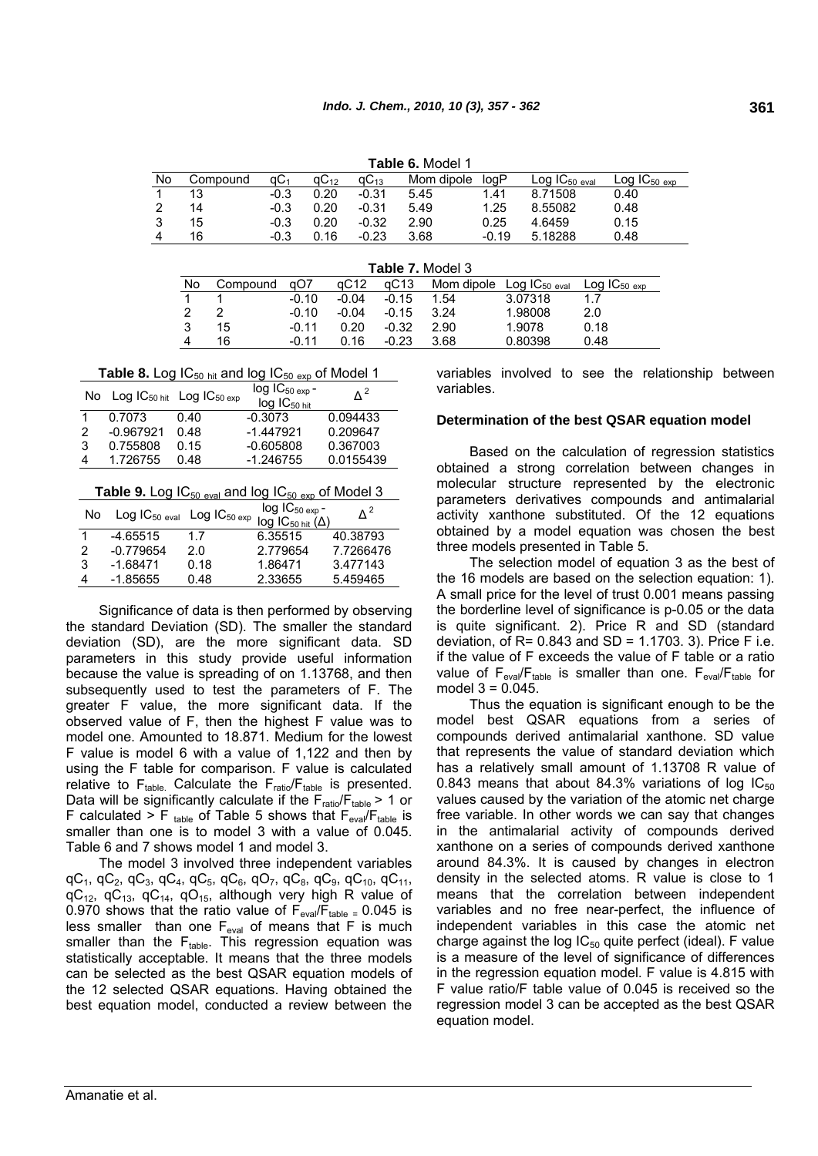|    | <b>Table 6. Model 1</b> |                 |           |                    |            |         |                    |                              |  |
|----|-------------------------|-----------------|-----------|--------------------|------------|---------|--------------------|------------------------------|--|
| No | Compound                | aC <sub>1</sub> | $qC_{12}$ | $\mathsf{qC}_{13}$ | Mom dipole | loaP    | $Log IC_{50}$ eval | $Log IC_{50}$ <sub>exp</sub> |  |
| 1  | 13                      | $-0.3$          | 0.20      | $-0.31$            | 5.45       | 1.41    | 8.71508            | 0.40                         |  |
| 2  | 14                      | $-0.3$          | 0.20      | $-0.31$            | 5.49       | 1.25    | 8.55082            | 0.48                         |  |
| 3  | 15                      | $-0.3$          | 0.20      | $-0.32$            | 2.90       | 0.25    | 4.6459             | 0.15                         |  |
| 4  | 16                      | $-0.3$          | 0.16      | $-0.23$            | 3.68       | $-0.19$ | 5.18288            | 0.48                         |  |

|    | <b>Table 7.</b> Model 3 |         |         |              |            |                           |                   |  |
|----|-------------------------|---------|---------|--------------|------------|---------------------------|-------------------|--|
| No | Compound                | aO7     | aC12    | $\alpha$ C13 | Mom dipole | $Log IC_{50\text{ eval}}$ | $Log IC_{50\exp}$ |  |
|    |                         | $-0.10$ | $-0.04$ | $-0.15$      | 1.54       | 3.07318                   | 1.7               |  |
|    |                         | $-0.10$ | $-0.04$ | $-0.15$      | 3.24       | 1.98008                   | 2.0               |  |
| 3  | 15                      | $-0.11$ | 0.20    | $-0.32$      | 2.90       | 1.9078                    | 0.18              |  |
| 4  | 16                      | $-0.11$ | 0.16    | $-0.23$      | 3.68       | 0.80398                   | 0.48              |  |

**Table 8.** Log  $IC_{50 \text{ hit}}$  and log  $IC_{50 \text{ exp}}$  of Model 1

|   |             | No Log IC <sub>50 hit</sub> Log IC <sub>50 exp</sub> | $log IC_{50 exp}$ -<br>$log$ $IC_{50 \text{ hit}}$ | Δ <sup>2</sup> |
|---|-------------|------------------------------------------------------|----------------------------------------------------|----------------|
|   | 0.7073      | 0.40                                                 | $-0.3073$                                          | 0.094433       |
| 2 | $-0.967921$ | 0.48                                                 | $-1.447921$                                        | 0.209647       |
| 3 | 0.755808    | 0.15                                                 | $-0.605808$                                        | 0.367003       |
| 4 | 1.726755    | 0.48                                                 | $-1.246755$                                        | 0.0155439      |

**Table 9.** Log  $IC_{50 \text{ eval}}$  and log  $IC_{50 \text{ eval}}$  of Model 3

| No | $Log IC_{50\text{ eval}}$ $Log IC_{50\text{ exp}}$ |      | $log IC_{50 exp}$ -<br>$log$ IC <sub>50 hit</sub> $(\Delta)$ | $\Delta^2$ |
|----|----------------------------------------------------|------|--------------------------------------------------------------|------------|
|    | $-4.65515$                                         | 1.7  | 6.35515                                                      | 40.38793   |
| 2  | $-0.779654$                                        | 2.0  | 2.779654                                                     | 7.7266476  |
| 3  | $-1.68471$                                         | 0.18 | 1.86471                                                      | 3.477143   |
| 4  | $-1.85655$                                         | 0.48 | 2.33655                                                      | 5.459465   |

Significance of data is then performed by observing the standard Deviation (SD). The smaller the standard deviation (SD), are the more significant data. SD parameters in this study provide useful information because the value is spreading of on 1.13768, and then subsequently used to test the parameters of F. The greater F value, the more significant data. If the observed value of F, then the highest F value was to model one. Amounted to 18.871. Medium for the lowest F value is model 6 with a value of 1,122 and then by using the F table for comparison. F value is calculated relative to  $F_{table}$ . Calculate the  $F_{ratio}/F_{table}$  is presented. Data will be significantly calculate if the  $F_{ratio}/F_{table} > 1$  or F calculated > F table of Table 5 shows that  $F_{eval}/F_{table}$  is smaller than one is to model 3 with a value of 0.045. Table 6 and 7 shows model 1 and model 3.

The model 3 involved three independent variables qC<sub>1</sub>, qC<sub>2</sub>, qC<sub>3</sub>, qC<sub>4</sub>, qC<sub>5</sub>, qC<sub>6</sub>, qO<sub>7</sub>, qC<sub>8</sub>, qC<sub>9</sub>, qC<sub>10</sub>, qC<sub>11</sub>,  $qC_{12}$ ,  $qC_{13}$ ,  $qC_{14}$ ,  $qO_{15}$ , although very high R value of 0.970 shows that the ratio value of  $F_{eval}/F_{table} = 0.045$  is less smaller than one  $F_{eval}$  of means that F is much smaller than the  $F_{table}$ . This regression equation was statistically acceptable. It means that the three models can be selected as the best QSAR equation models of the 12 selected QSAR equations. Having obtained the best equation model, conducted a review between the variables involved to see the relationship between variables.

# **Determination of the best QSAR equation model**

Based on the calculation of regression statistics obtained a strong correlation between changes in molecular structure represented by the electronic parameters derivatives compounds and antimalarial activity xanthone substituted. Of the 12 equations obtained by a model equation was chosen the best three models presented in Table 5.

The selection model of equation 3 as the best of the 16 models are based on the selection equation: 1). A small price for the level of trust 0.001 means passing the borderline level of significance is p-0.05 or the data is quite significant. 2). Price R and SD (standard deviation, of  $R= 0.843$  and  $SD = 1.1703$ . 3). Price F i.e. if the value of F exceeds the value of F table or a ratio value of  $F_{eval}/F_{table}$  is smaller than one.  $F_{eval}/F_{table}$  for model  $3 = 0.045$ .

Thus the equation is significant enough to be the model best QSAR equations from a series of compounds derived antimalarial xanthone. SD value that represents the value of standard deviation which has a relatively small amount of 1.13708 R value of 0.843 means that about 84.3% variations of log  $IC_{50}$ values caused by the variation of the atomic net charge free variable. In other words we can say that changes in the antimalarial activity of compounds derived xanthone on a series of compounds derived xanthone around 84.3%. It is caused by changes in electron density in the selected atoms. R value is close to 1 means that the correlation between independent variables and no free near-perfect, the influence of independent variables in this case the atomic net charge against the log  $IC_{50}$  quite perfect (ideal). F value is a measure of the level of significance of differences in the regression equation model. F value is 4.815 with F value ratio/F table value of 0.045 is received so the regression model 3 can be accepted as the best QSAR equation model.